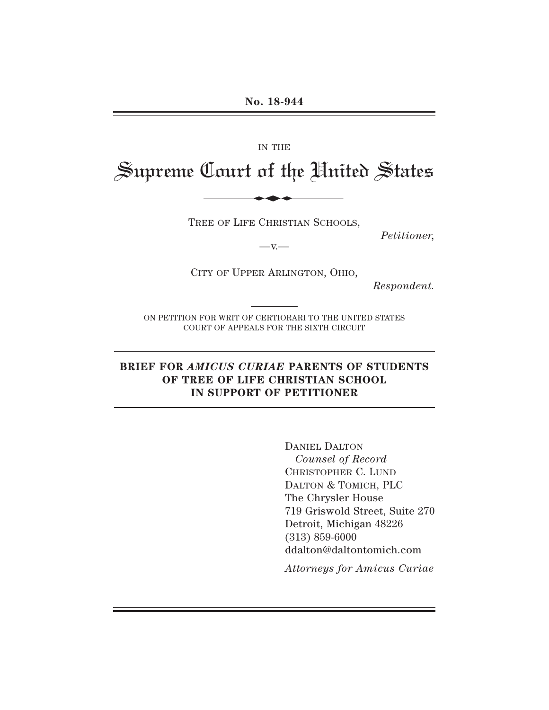# IN THE Supreme Court of the United States No. 18-944<br>IN THE<br>Lourt of the Uni

TREE OF LIFE CHRISTIAN SCHOOLS,

*Petitioner,*

 $-x -$ 

CITY OF UPPER ARLINGTON, OHIO,

*Respondent.*

ON PETITION FOR WRIT OF CERTIORARI TO THE UNITED STATES COURT OF APPEALS FOR THE SIXTH CIRCUIT

# **BRIEF FOR** *AMICUS CURIAE* **PARENTS OF STUDENTS OF TREE OF LIFE CHRISTIAN SCHOOL IN SUPPORT OF PETITIONER**

DANIEL DALTON *Counsel of Record* CHRISTOPHER C. LUND DALTON & TOMICH, PLC The Chrysler House 719 Griswold Street, Suite 270 Detroit, Michigan 48226 (313) 859-6000 ddalton@daltontomich.com

*Attorneys for Amicus Curiae*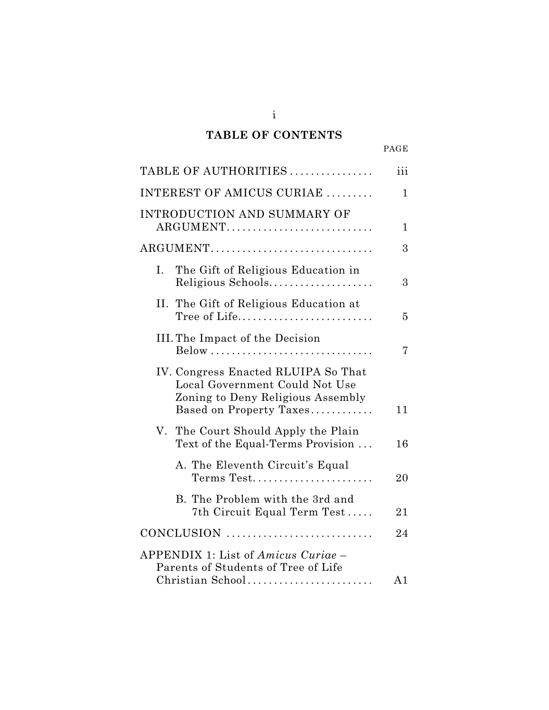# **TABLE OF CONTENTS**

i

| I |
|---|
|   |

| TABLE OF AUTHORITIES                                                                                                                  | iii          |
|---------------------------------------------------------------------------------------------------------------------------------------|--------------|
| INTEREST OF AMICUS CURIAE                                                                                                             | 1            |
| INTRODUCTION AND SUMMARY OF<br>ARGUMENT                                                                                               | $\mathbf{1}$ |
| ARGUMENT                                                                                                                              | 3            |
| The Gift of Religious Education in<br>Ι.<br>Religious Schools                                                                         | 3            |
| II. The Gift of Religious Education at<br>Tree of Life                                                                                | 5            |
| III. The Impact of the Decision                                                                                                       | 7            |
| IV. Congress Enacted RLUIPA So That<br>Local Government Could Not Use<br>Zoning to Deny Religious Assembly<br>Based on Property Taxes | 11           |
| V. The Court Should Apply the Plain<br>Text of the Equal-Terms Provision                                                              | 16           |
| A. The Eleventh Circuit's Equal<br>Terms Test                                                                                         | 20           |
| B. The Problem with the 3rd and<br>7th Circuit Equal Term Test                                                                        | 21           |
| CONCLUSION                                                                                                                            | 24           |
| APPENDIX 1: List of Amicus Curiae -<br>Parents of Students of Tree of Life<br>Christian School                                        | A1           |
|                                                                                                                                       |              |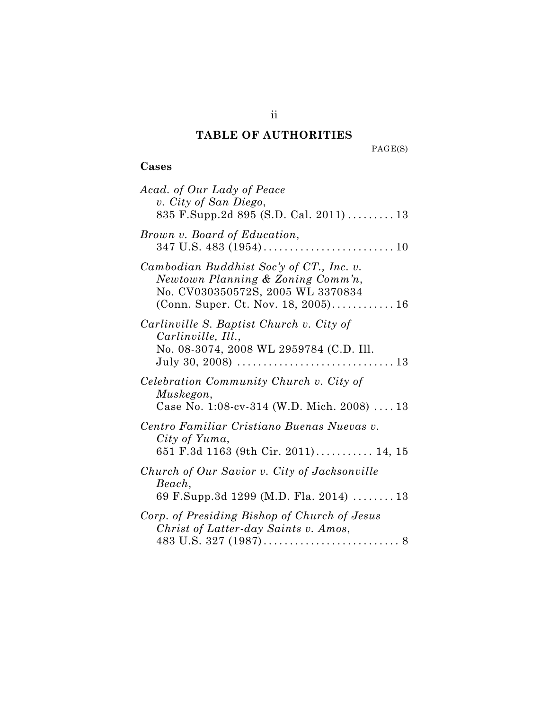# **TABLE OF AUTHORITIES**

PAGE(S)

# **Cases**

| Acad. of Our Lady of Peace<br>v. City of San Diego,<br>835 F.Supp.2d 895 (S.D. Cal. 2011)  13                                                             |
|-----------------------------------------------------------------------------------------------------------------------------------------------------------|
| Brown v. Board of Education,                                                                                                                              |
| Cambodian Buddhist Soc'y of CT., Inc. v.<br>Newtown Planning & Zoning Comm'n,<br>No. CV030350572S, 2005 WL 3370834<br>(Conn. Super. Ct. Nov. 18, 2005) 16 |
| Carlinville S. Baptist Church v. City of<br>Carlinville, Ill.,<br>No. 08-3074, 2008 WL 2959784 (C.D. Ill.<br>July 30, 2008) $\ldots$<br>. 13              |
| Celebration Community Church v. City of<br>Muskegon,<br>Case No. 1:08-cv-314 (W.D. Mich. 2008)  13                                                        |
| Centro Familiar Cristiano Buenas Nuevas v.<br>City of Yuma,<br>651 F.3d 1163 (9th Cir. 2011) 14, 15                                                       |
| Church of Our Savior v. City of Jacksonville<br>Beach,<br>69 F.Supp.3d 1299 (M.D. Fla. 2014)  13                                                          |
| Corp. of Presiding Bishop of Church of Jesus<br>Christ of Latter-day Saints v. Amos,                                                                      |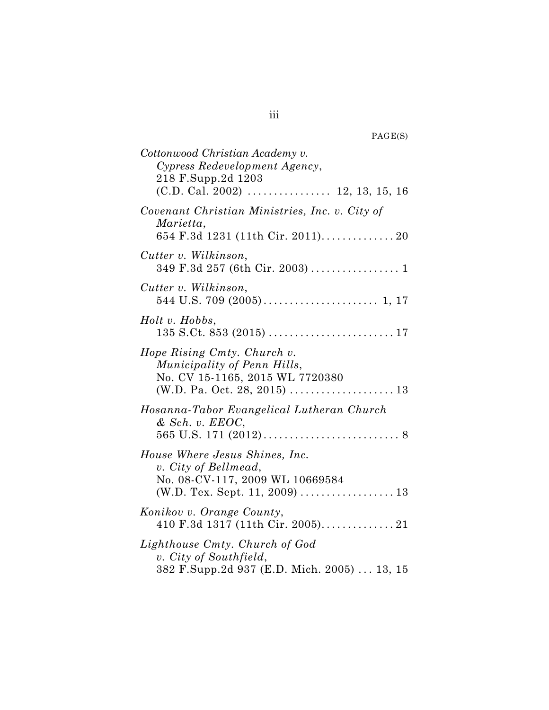| PAGE(S) |  |
|---------|--|
|---------|--|

| Cottonwood Christian Academy v.<br>Cypress Redevelopment Agency,<br>218 F.Supp.2d 1203<br>$(C.D. Cal. 2002)$ 12, 13, 15, 16 |
|-----------------------------------------------------------------------------------------------------------------------------|
| Covenant Christian Ministries, Inc. v. City of<br>Marietta,                                                                 |
| Cutter v. Wilkinson,                                                                                                        |
| Cutter v. Wilkinson,                                                                                                        |
| Holt v. Hobbs,                                                                                                              |
| Hope Rising Cmty. Church v.<br>Municipality of Penn Hills,<br>No. CV 15-1165, 2015 WL 7720380                               |
| Hosanna-Tabor Evangelical Lutheran Church<br>$&$ Sch. v. $EEOC,$                                                            |
| House Where Jesus Shines, Inc.<br>v. City of Bellmead,<br>No. 08-CV-117, 2009 WL 10669584                                   |
| Konikov v. Orange County,                                                                                                   |
| Lighthouse Cmty. Church of God<br>v. City of Southfield,<br>382 F.Supp.2d 937 (E.D. Mich. 2005)  13, 15                     |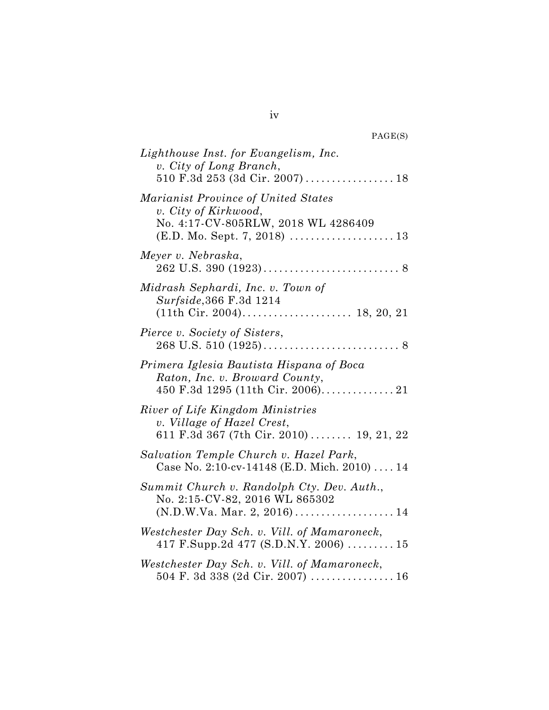| PAGE(S)                                                                                                    |
|------------------------------------------------------------------------------------------------------------|
| Lighthouse Inst. for Evangelism, Inc.<br>v. City of Long Branch,                                           |
| <i>Marianist Province of United States</i><br>v. City of Kirkwood,<br>No. 4:17-CV-805RLW, 2018 WL 4286409  |
| Meyer v. Nebraska,<br>$262$ U.S. 390 $(1923)$                                                              |
| Midrash Sephardi, Inc. v. Town of<br>Surfside, 366 F.3d 1214                                               |
| Pierce v. Society of Sisters,                                                                              |
| Primera Iglesia Bautista Hispana of Boca<br>Raton, Inc. v. Broward County,                                 |
| River of Life Kingdom Ministries<br>v. Village of Hazel Crest,<br>611 F.3d 367 (7th Cir. 2010)  19, 21, 22 |
| Salvation Temple Church v. Hazel Park,<br>Case No. 2:10-cv-14148 (E.D. Mich. 2010)  14                     |
| Summit Church v. Randolph Cty. Dev. Auth.,<br>No. 2:15-CV-82, 2016 WL 865302                               |
| Westchester Day Sch. v. Vill. of Mamaroneck,<br>417 F.Supp.2d 477 (S.D.N.Y. 2006)  15                      |
| Westchester Day Sch. v. Vill. of Mamaroneck,<br>504 F. 3d 338 (2d Cir. 2007)  16                           |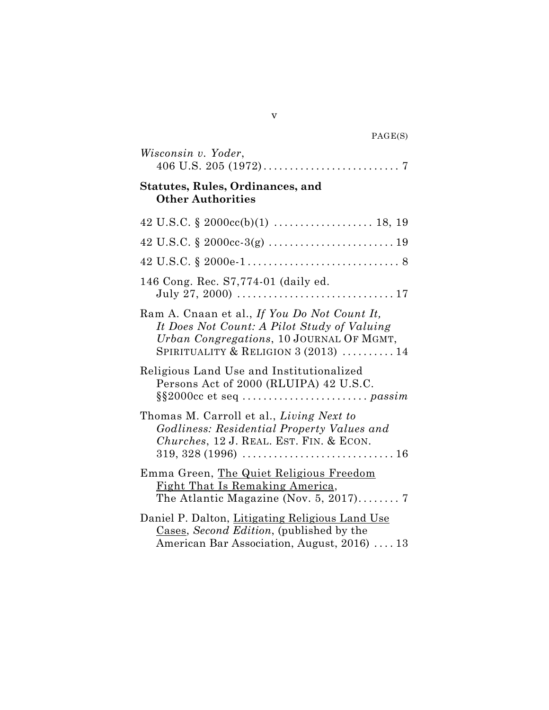| PAGE(S) |
|---------|
|---------|

| Wisconsin v. Yoder,                                                                                                                                                             |
|---------------------------------------------------------------------------------------------------------------------------------------------------------------------------------|
| <b>Statutes, Rules, Ordinances, and</b><br><b>Other Authorities</b>                                                                                                             |
|                                                                                                                                                                                 |
|                                                                                                                                                                                 |
|                                                                                                                                                                                 |
| 146 Cong. Rec. S7,774-01 (daily ed.                                                                                                                                             |
| Ram A. Cnaan et al., If You Do Not Count It,<br>It Does Not Count: A Pilot Study of Valuing<br>Urban Congregations, 10 JOURNAL OF MGMT,<br>SPIRITUALITY & RELIGION $3(2013)$ 14 |
| Religious Land Use and Institutionalized<br>Persons Act of 2000 (RLUIPA) 42 U.S.C.                                                                                              |
| Thomas M. Carroll et al., Living Next to<br>Godliness: Residential Property Values and<br>Churches, 12 J. REAL. EST. FIN. & ECON.                                               |
| Emma Green, The Quiet Religious Freedom<br><u>Fight That Is Remaking America</u> ,                                                                                              |
| Daniel P. Dalton, Litigating Religious Land Use<br>Cases, Second Edition, (published by the<br>American Bar Association, August, 2016)  13                                      |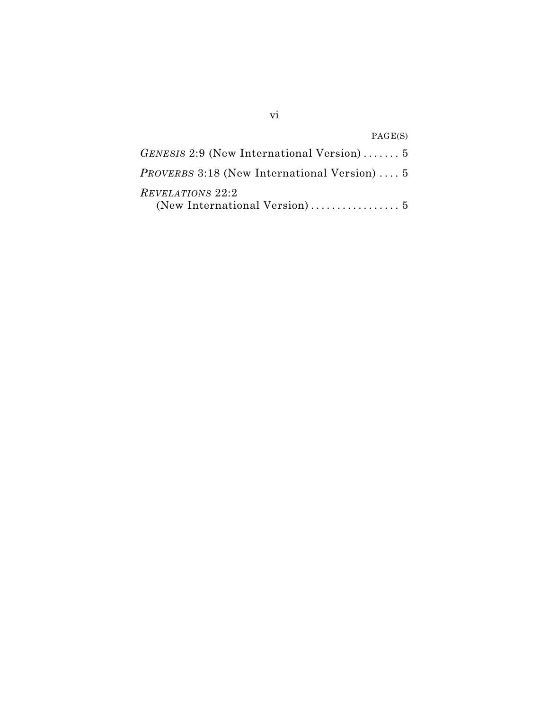| PAGE(S)                                            |
|----------------------------------------------------|
| <i>GENESIS</i> 2:9 (New International Version) $5$ |
| <i>PROVERBS</i> 3:18 (New International Version) 5 |
| REVELATIONS 22:2                                   |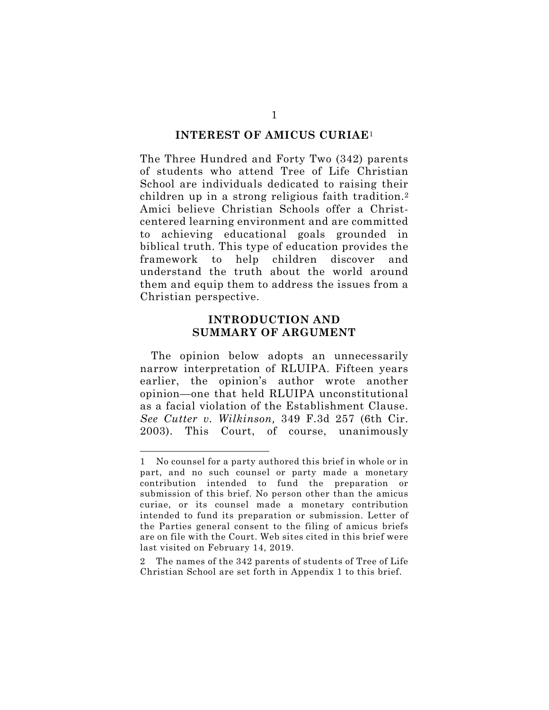#### **INTEREST OF AMICUS CURIAE**<sup>1</sup>

The Three Hundred and Forty Two (342) parents of students who attend Tree of Life Christian School are individuals dedicated to raising their children up in a strong religious faith tradition.2 Amici believe Christian Schools offer a Christcentered learning environment and are committed to achieving educational goals grounded in biblical truth. This type of education provides the framework to help children discover and understand the truth about the world around them and equip them to address the issues from a Christian perspective.

### **INTRODUCTION AND SUMMARY OF ARGUMENT**

The opinion below adopts an unnecessarily narrow interpretation of RLUIPA. Fifteen years earlier, the opinion's author wrote another opinion—one that held RLUIPA unconstitutional as a facial violation of the Establishment Clause. *See Cutter v. Wilkinson,* 349 F.3d 257 (6th Cir. 2003). This Court, of course, unanimously

 $\overline{a}$ 

2 The names of the 342 parents of students of Tree of Life Christian School are set forth in Appendix 1 to this brief.

<sup>1</sup> No counsel for a party authored this brief in whole or in part, and no such counsel or party made a monetary contribution intended to fund the preparation or submission of this brief. No person other than the amicus curiae, or its counsel made a monetary contribution intended to fund its preparation or submission. Letter of the Parties general consent to the filing of amicus briefs are on file with the Court. Web sites cited in this brief were last visited on February 14, 2019.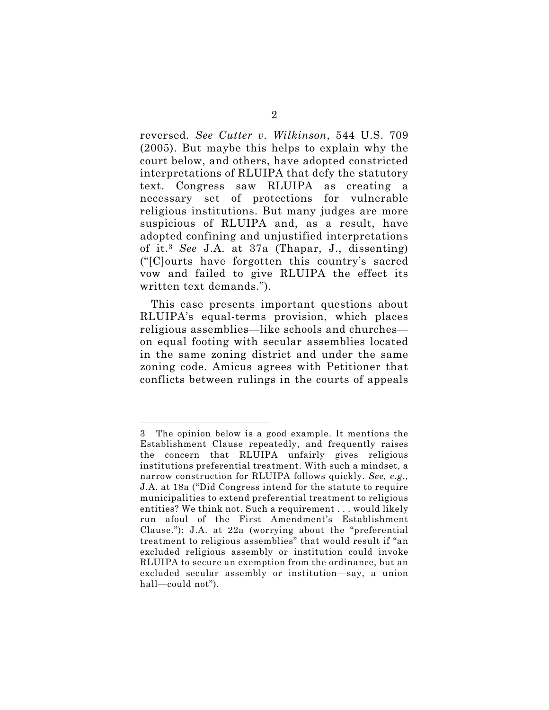reversed. *See Cutter v. Wilkinson*, 544 U.S. 709 (2005). But maybe this helps to explain why the court below, and others, have adopted constricted interpretations of RLUIPA that defy the statutory text. Congress saw RLUIPA as creating a necessary set of protections for vulnerable religious institutions. But many judges are more suspicious of RLUIPA and, as a result, have adopted confining and unjustified interpretations of it.3 *See* J.A. at 37a (Thapar, J., dissenting) ("[C]ourts have forgotten this country's sacred vow and failed to give RLUIPA the effect its written text demands.").

This case presents important questions about RLUIPA's equal-terms provision, which places religious assemblies—like schools and churches on equal footing with secular assemblies located in the same zoning district and under the same zoning code. Amicus agrees with Petitioner that conflicts between rulings in the courts of appeals

 $\ddot{\phantom{a}}$ 

<sup>3</sup> The opinion below is a good example. It mentions the Establishment Clause repeatedly, and frequently raises the concern that RLUIPA unfairly gives religious institutions preferential treatment. With such a mindset, a narrow construction for RLUIPA follows quickly. *See, e.g.,* J.A. at 18a ("Did Congress intend for the statute to require municipalities to extend preferential treatment to religious entities? We think not. Such a requirement . . . would likely run afoul of the First Amendment's Establishment Clause."); J.A. at 22a (worrying about the "preferential treatment to religious assemblies" that would result if "an excluded religious assembly or institution could invoke RLUIPA to secure an exemption from the ordinance, but an excluded secular assembly or institution—say, a union hall—could not").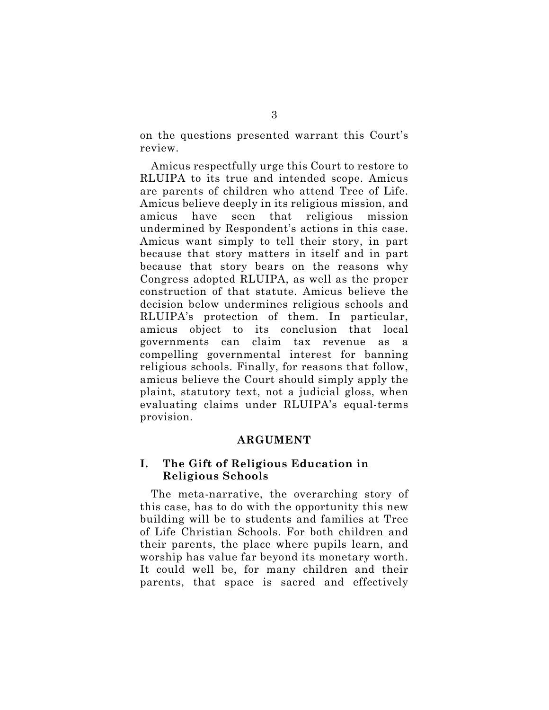on the questions presented warrant this Court's review.

Amicus respectfully urge this Court to restore to RLUIPA to its true and intended scope. Amicus are parents of children who attend Tree of Life. Amicus believe deeply in its religious mission, and amicus have seen that religious mission undermined by Respondent's actions in this case. Amicus want simply to tell their story, in part because that story matters in itself and in part because that story bears on the reasons why Congress adopted RLUIPA, as well as the proper construction of that statute. Amicus believe the decision below undermines religious schools and RLUIPA's protection of them. In particular, amicus object to its conclusion that local governments can claim tax revenue as a compelling governmental interest for banning religious schools. Finally, for reasons that follow, amicus believe the Court should simply apply the plaint, statutory text, not a judicial gloss, when evaluating claims under RLUIPA's equal-terms provision.

#### **ARGUMENT**

## **I. The Gift of Religious Education in Religious Schools**

The meta-narrative, the overarching story of this case, has to do with the opportunity this new building will be to students and families at Tree of Life Christian Schools. For both children and their parents, the place where pupils learn, and worship has value far beyond its monetary worth. It could well be, for many children and their parents, that space is sacred and effectively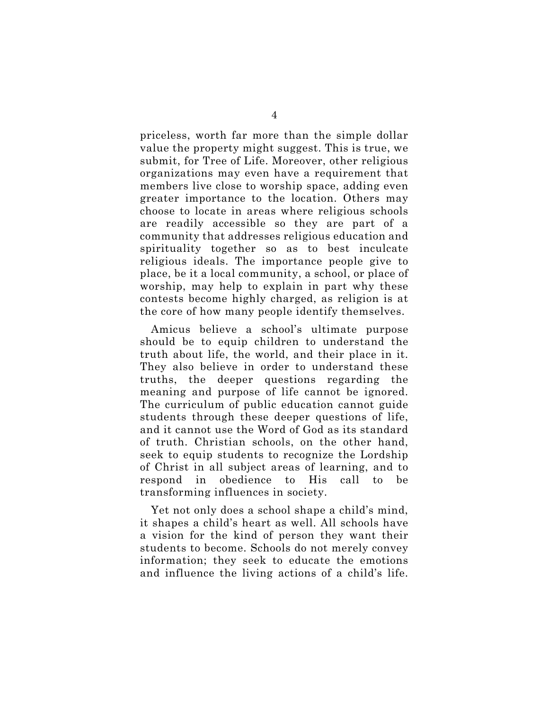priceless, worth far more than the simple dollar value the property might suggest. This is true, we submit, for Tree of Life. Moreover, other religious organizations may even have a requirement that members live close to worship space, adding even greater importance to the location. Others may choose to locate in areas where religious schools are readily accessible so they are part of a community that addresses religious education and spirituality together so as to best inculcate religious ideals. The importance people give to place, be it a local community, a school, or place of worship, may help to explain in part why these contests become highly charged, as religion is at the core of how many people identify themselves.

Amicus believe a school's ultimate purpose should be to equip children to understand the truth about life, the world, and their place in it. They also believe in order to understand these truths, the deeper questions regarding the meaning and purpose of life cannot be ignored. The curriculum of public education cannot guide students through these deeper questions of life, and it cannot use the Word of God as its standard of truth. Christian schools, on the other hand, seek to equip students to recognize the Lordship of Christ in all subject areas of learning, and to respond in obedience to His call to be transforming influences in society.

Yet not only does a school shape a child's mind, it shapes a child's heart as well. All schools have a vision for the kind of person they want their students to become. Schools do not merely convey information; they seek to educate the emotions and influence the living actions of a child's life.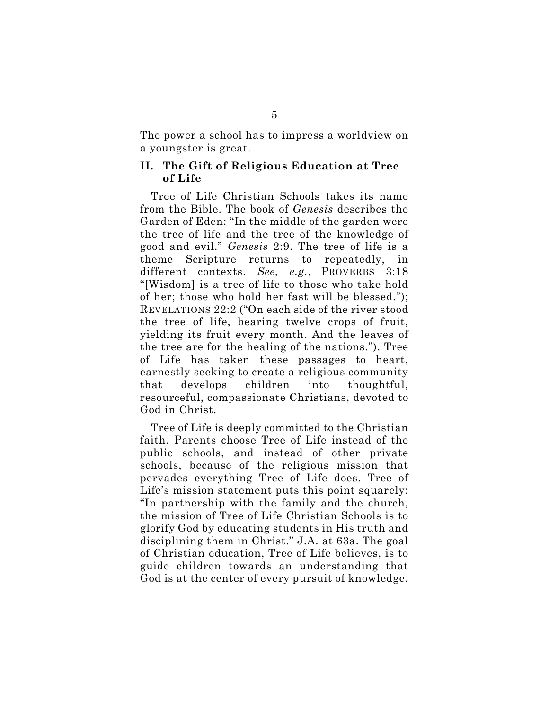The power a school has to impress a worldview on a youngster is great.

## **II. The Gift of Religious Education at Tree of Life**

Tree of Life Christian Schools takes its name from the Bible. The book of *Genesis* describes the Garden of Eden: "In the middle of the garden were the tree of life and the tree of the knowledge of good and evil." *Genesis* 2:9. The tree of life is a theme Scripture returns to repeatedly, in different contexts. *See, e.g.*, PROVERBS 3:18 "[Wisdom] is a tree of life to those who take hold of her; those who hold her fast will be blessed."); REVELATIONS 22:2 ("On each side of the river stood the tree of life, bearing twelve crops of fruit, yielding its fruit every month. And the leaves of the tree are for the healing of the nations."). Tree of Life has taken these passages to heart, earnestly seeking to create a religious community that develops children into thoughtful, resourceful, compassionate Christians, devoted to God in Christ.

Tree of Life is deeply committed to the Christian faith. Parents choose Tree of Life instead of the public schools, and instead of other private schools, because of the religious mission that pervades everything Tree of Life does. Tree of Life's mission statement puts this point squarely: "In partnership with the family and the church, the mission of Tree of Life Christian Schools is to glorify God by educating students in His truth and disciplining them in Christ." J.A. at 63a. The goal of Christian education, Tree of Life believes, is to guide children towards an understanding that God is at the center of every pursuit of knowledge.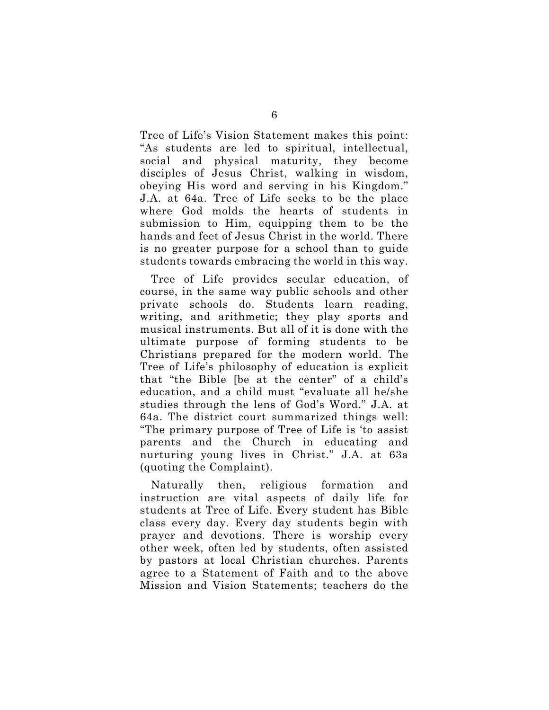Tree of Life's Vision Statement makes this point: "As students are led to spiritual, intellectual, social and physical maturity, they become disciples of Jesus Christ, walking in wisdom, obeying His word and serving in his Kingdom." J.A. at 64a. Tree of Life seeks to be the place where God molds the hearts of students in submission to Him, equipping them to be the hands and feet of Jesus Christ in the world. There is no greater purpose for a school than to guide students towards embracing the world in this way.

Tree of Life provides secular education, of course, in the same way public schools and other private schools do. Students learn reading, writing, and arithmetic; they play sports and musical instruments. But all of it is done with the ultimate purpose of forming students to be Christians prepared for the modern world. The Tree of Life's philosophy of education is explicit that "the Bible [be at the center" of a child's education, and a child must "evaluate all he/she studies through the lens of God's Word." J.A. at 64a. The district court summarized things well: "The primary purpose of Tree of Life is 'to assist parents and the Church in educating and nurturing young lives in Christ." J.A. at 63a (quoting the Complaint).

Naturally then, religious formation and instruction are vital aspects of daily life for students at Tree of Life. Every student has Bible class every day. Every day students begin with prayer and devotions. There is worship every other week, often led by students, often assisted by pastors at local Christian churches. Parents agree to a Statement of Faith and to the above Mission and Vision Statements; teachers do the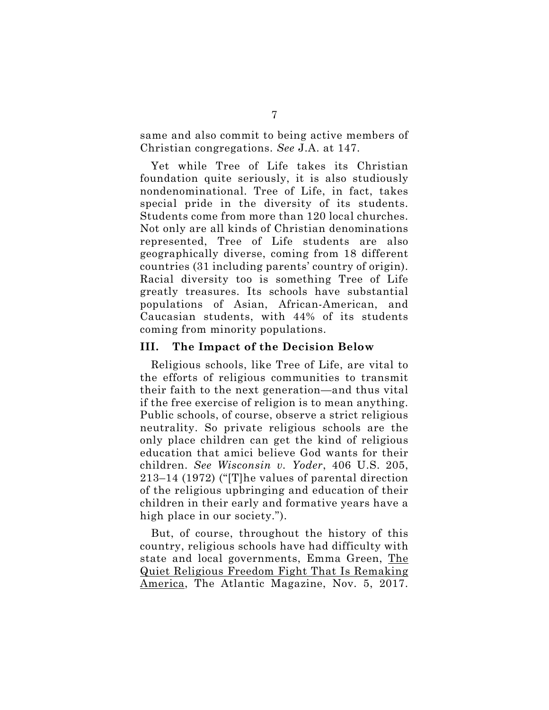same and also commit to being active members of Christian congregations. *See* J.A. at 147.

Yet while Tree of Life takes its Christian foundation quite seriously, it is also studiously nondenominational. Tree of Life, in fact, takes special pride in the diversity of its students. Students come from more than 120 local churches. Not only are all kinds of Christian denominations represented, Tree of Life students are also geographically diverse, coming from 18 different countries (31 including parents' country of origin). Racial diversity too is something Tree of Life greatly treasures. Its schools have substantial populations of Asian, African-American, and Caucasian students, with 44% of its students coming from minority populations.

#### **III. The Impact of the Decision Below**

Religious schools, like Tree of Life, are vital to the efforts of religious communities to transmit their faith to the next generation—and thus vital if the free exercise of religion is to mean anything. Public schools, of course, observe a strict religious neutrality. So private religious schools are the only place children can get the kind of religious education that amici believe God wants for their children. *See Wisconsin v. Yoder*, 406 U.S. 205, 213–14 (1972) ("[T]he values of parental direction of the religious upbringing and education of their children in their early and formative years have a high place in our society.").

But, of course, throughout the history of this country, religious schools have had difficulty with state and local governments, Emma Green, The Quiet Religious Freedom Fight That Is Remaking America, The Atlantic Magazine, Nov. 5, 2017.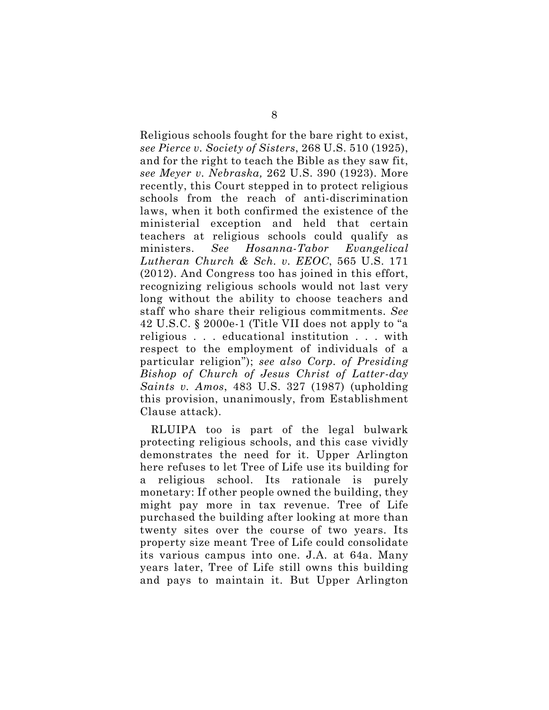Religious schools fought for the bare right to exist, *see Pierce v. Society of Sisters*, 268 U.S. 510 (1925), and for the right to teach the Bible as they saw fit, *see Meyer v. Nebraska,* 262 U.S. 390 (1923). More recently, this Court stepped in to protect religious schools from the reach of anti-discrimination laws, when it both confirmed the existence of the ministerial exception and held that certain teachers at religious schools could qualify as ministers. *See Hosanna-Tabor Evangelical Lutheran Church & Sch. v. EEOC*, 565 U.S. 171 (2012). And Congress too has joined in this effort, recognizing religious schools would not last very long without the ability to choose teachers and staff who share their religious commitments. *See*  42 U.S.C. § 2000e-1 (Title VII does not apply to "a religious . . . educational institution . . . with respect to the employment of individuals of a particular religion"); *see also Corp. of Presiding Bishop of Church of Jesus Christ of Latter-day Saints v. Amos*, 483 U.S. 327 (1987) (upholding this provision, unanimously, from Establishment Clause attack).

RLUIPA too is part of the legal bulwark protecting religious schools, and this case vividly demonstrates the need for it. Upper Arlington here refuses to let Tree of Life use its building for a religious school. Its rationale is purely monetary: If other people owned the building, they might pay more in tax revenue. Tree of Life purchased the building after looking at more than twenty sites over the course of two years. Its property size meant Tree of Life could consolidate its various campus into one. J.A. at 64a. Many years later, Tree of Life still owns this building and pays to maintain it. But Upper Arlington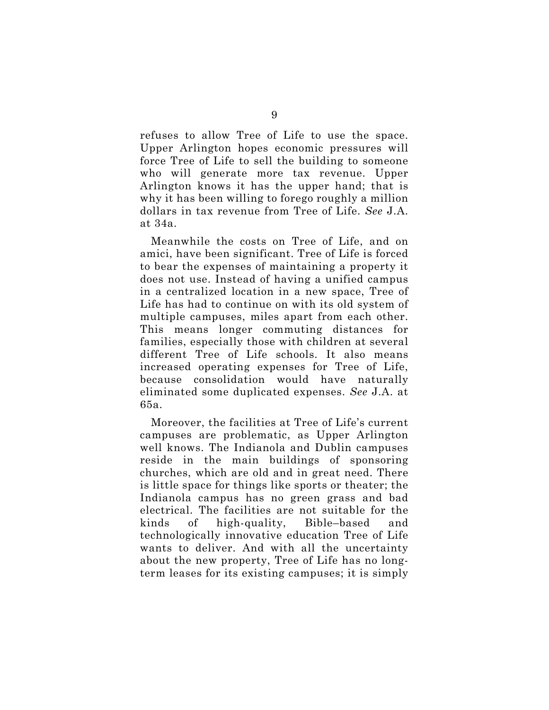refuses to allow Tree of Life to use the space. Upper Arlington hopes economic pressures will force Tree of Life to sell the building to someone who will generate more tax revenue. Upper Arlington knows it has the upper hand; that is why it has been willing to forego roughly a million dollars in tax revenue from Tree of Life. *See* J.A. at 34a.

Meanwhile the costs on Tree of Life, and on amici, have been significant. Tree of Life is forced to bear the expenses of maintaining a property it does not use. Instead of having a unified campus in a centralized location in a new space, Tree of Life has had to continue on with its old system of multiple campuses, miles apart from each other. This means longer commuting distances for families, especially those with children at several different Tree of Life schools. It also means increased operating expenses for Tree of Life, because consolidation would have naturally eliminated some duplicated expenses. *See* J.A. at 65a.

Moreover, the facilities at Tree of Life's current campuses are problematic, as Upper Arlington well knows. The Indianola and Dublin campuses reside in the main buildings of sponsoring churches, which are old and in great need. There is little space for things like sports or theater; the Indianola campus has no green grass and bad electrical. The facilities are not suitable for the kinds of high-quality, Bible–based and technologically innovative education Tree of Life wants to deliver. And with all the uncertainty about the new property, Tree of Life has no longterm leases for its existing campuses; it is simply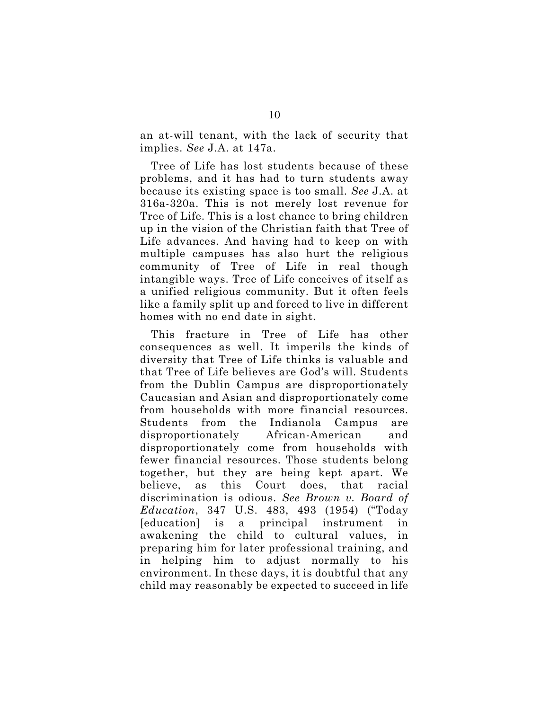an at-will tenant, with the lack of security that implies. *See* J.A. at 147a.

Tree of Life has lost students because of these problems, and it has had to turn students away because its existing space is too small. *See* J.A. at 316a-320a. This is not merely lost revenue for Tree of Life. This is a lost chance to bring children up in the vision of the Christian faith that Tree of Life advances. And having had to keep on with multiple campuses has also hurt the religious community of Tree of Life in real though intangible ways. Tree of Life conceives of itself as a unified religious community. But it often feels like a family split up and forced to live in different homes with no end date in sight.

This fracture in Tree of Life has other consequences as well. It imperils the kinds of diversity that Tree of Life thinks is valuable and that Tree of Life believes are God's will. Students from the Dublin Campus are disproportionately Caucasian and Asian and disproportionately come from households with more financial resources. Students from the Indianola Campus are disproportionately African-American and disproportionately come from households with fewer financial resources. Those students belong together, but they are being kept apart. We believe, as this Court does, that racial discrimination is odious. *See Brown v. Board of Education*, 347 U.S. 483, 493 (1954) ("Today [education] is a principal instrument awakening the child to cultural values, in preparing him for later professional training, and in helping him to adjust normally to his environment. In these days, it is doubtful that any child may reasonably be expected to succeed in life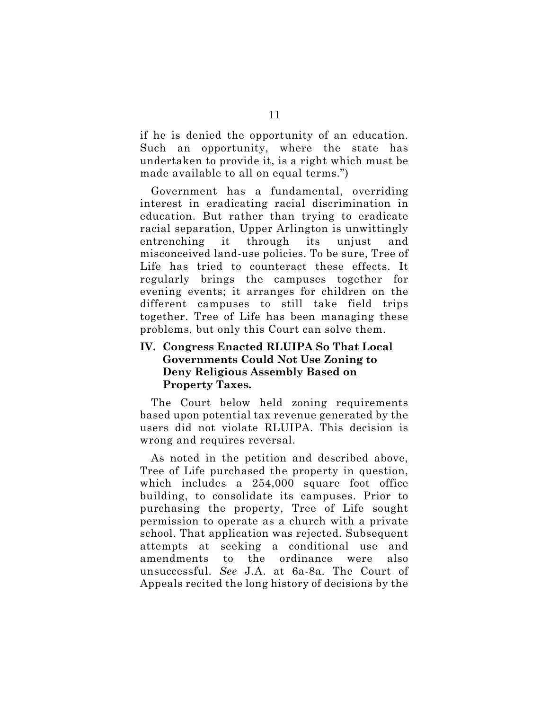if he is denied the opportunity of an education. Such an opportunity, where the state has undertaken to provide it, is a right which must be made available to all on equal terms.")

Government has a fundamental, overriding interest in eradicating racial discrimination in education. But rather than trying to eradicate racial separation, Upper Arlington is unwittingly entrenching it through its unjust and misconceived land-use policies. To be sure, Tree of Life has tried to counteract these effects. It regularly brings the campuses together for evening events; it arranges for children on the different campuses to still take field trips together. Tree of Life has been managing these problems, but only this Court can solve them.

# **IV. Congress Enacted RLUIPA So That Local Governments Could Not Use Zoning to Deny Religious Assembly Based on Property Taxes.**

The Court below held zoning requirements based upon potential tax revenue generated by the users did not violate RLUIPA. This decision is wrong and requires reversal.

As noted in the petition and described above, Tree of Life purchased the property in question, which includes a 254,000 square foot office building, to consolidate its campuses. Prior to purchasing the property, Tree of Life sought permission to operate as a church with a private school. That application was rejected. Subsequent attempts at seeking a conditional use and amendments to the ordinance were also unsuccessful. *See* J.A. at 6a-8a. The Court of Appeals recited the long history of decisions by the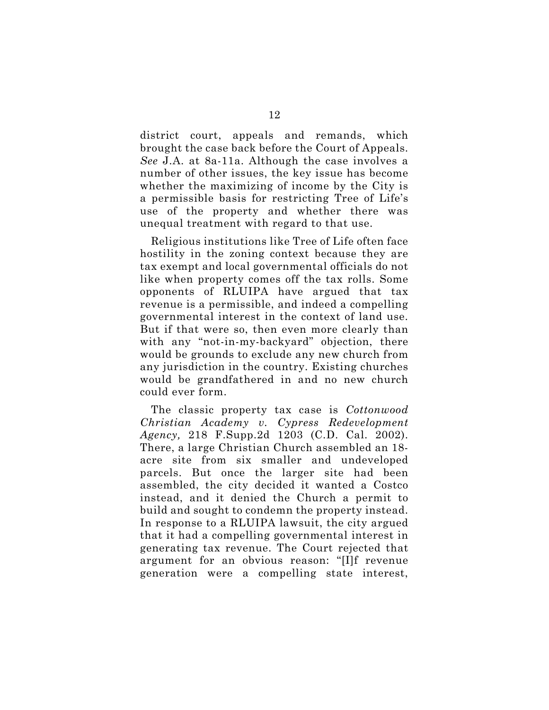district court, appeals and remands, which brought the case back before the Court of Appeals. *See* J.A. at 8a-11a. Although the case involves a number of other issues, the key issue has become whether the maximizing of income by the City is a permissible basis for restricting Tree of Life's use of the property and whether there was unequal treatment with regard to that use.

Religious institutions like Tree of Life often face hostility in the zoning context because they are tax exempt and local governmental officials do not like when property comes off the tax rolls. Some opponents of RLUIPA have argued that tax revenue is a permissible, and indeed a compelling governmental interest in the context of land use. But if that were so, then even more clearly than with any "not-in-my-backyard" objection, there would be grounds to exclude any new church from any jurisdiction in the country. Existing churches would be grandfathered in and no new church could ever form.

The classic property tax case is *Cottonwood Christian Academy v. Cypress Redevelopment Agency,* 218 F.Supp.2d 1203 (C.D. Cal. 2002). There, a large Christian Church assembled an 18 acre site from six smaller and undeveloped parcels. But once the larger site had been assembled, the city decided it wanted a Costco instead, and it denied the Church a permit to build and sought to condemn the property instead. In response to a RLUIPA lawsuit, the city argued that it had a compelling governmental interest in generating tax revenue. The Court rejected that argument for an obvious reason: "[I]f revenue generation were a compelling state interest,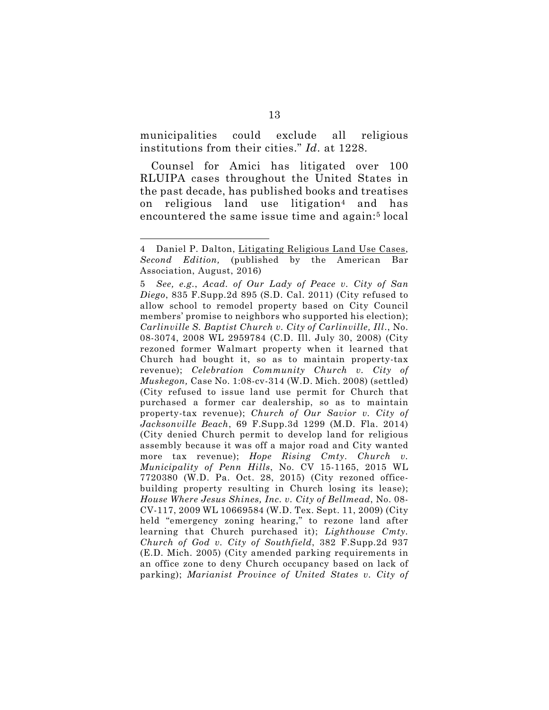municipalities could exclude all religious institutions from their cities." *Id*. at 1228.

Counsel for Amici has litigated over 100 RLUIPA cases throughout the United States in the past decade, has published books and treatises on religious land use litigation4 and has encountered the same issue time and again:<sup>5</sup> local

 $\overline{a}$ 

<sup>4</sup> Daniel P. Dalton, Litigating Religious Land Use Cases, *Second Edition,* (published by the American Bar Association, August, 2016)

<sup>5</sup> *See, e.g.*, *Acad. of Our Lady of Peace v. City of San Diego*, 835 F.Supp.2d 895 (S.D. Cal. 2011) (City refused to allow school to remodel property based on City Council members' promise to neighbors who supported his election); *Carlinville S. Baptist Church v. City of Carlinville, Ill*., No. 08-3074, 2008 WL 2959784 (C.D. Ill. July 30, 2008) (City rezoned former Walmart property when it learned that Church had bought it, so as to maintain property-tax revenue); *Celebration Community Church v. City of Muskegon,* Case No. 1:08-cv-314 (W.D. Mich. 2008) (settled) (City refused to issue land use permit for Church that purchased a former car dealership, so as to maintain property-tax revenue); *Church of Our Savior v. City of Jacksonville Beach*, 69 F.Supp.3d 1299 (M.D. Fla. 2014) (City denied Church permit to develop land for religious assembly because it was off a major road and City wanted more tax revenue); *Hope Rising Cmty. Church v. Municipality of Penn Hills*, No. CV 15-1165, 2015 WL 7720380 (W.D. Pa. Oct. 28, 2015) (City rezoned officebuilding property resulting in Church losing its lease); *House Where Jesus Shines, Inc. v. City of Bellmead*, No. 08- CV-117, 2009 WL 10669584 (W.D. Tex. Sept. 11, 2009) (City held "emergency zoning hearing," to rezone land after learning that Church purchased it); *Lighthouse Cmty. Church of God v. City of Southfield*, 382 F.Supp.2d 937 (E.D. Mich. 2005) (City amended parking requirements in an office zone to deny Church occupancy based on lack of parking); *Marianist Province of United States v. City of*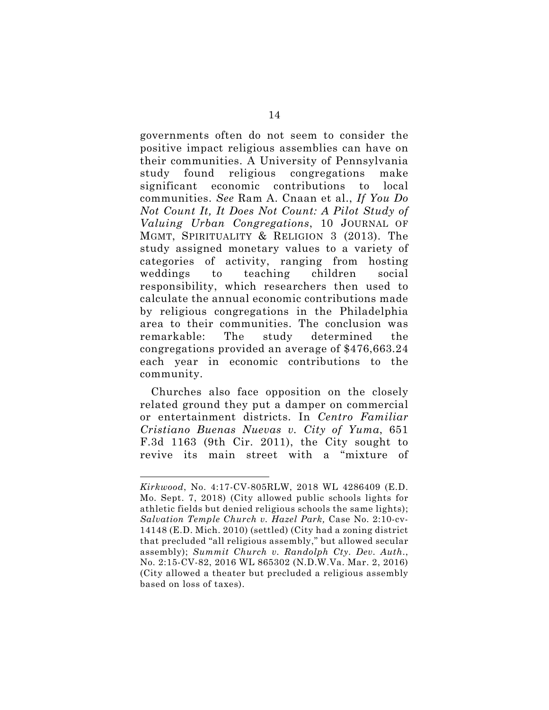governments often do not seem to consider the positive impact religious assemblies can have on their communities. A University of Pennsylvania study found religious congregations make significant economic contributions to local communities. *See* Ram A. Cnaan et al., *If You Do Not Count It, It Does Not Count: A Pilot Study of Valuing Urban Congregations*, 10 JOURNAL OF MGMT, SPIRITUALITY & RELIGION 3 (2013). The study assigned monetary values to a variety of categories of activity, ranging from hosting weddings to teaching children social responsibility, which researchers then used to calculate the annual economic contributions made by religious congregations in the Philadelphia area to their communities. The conclusion was remarkable: The study determined the congregations provided an average of \$476,663.24 each year in economic contributions to the community.

Churches also face opposition on the closely related ground they put a damper on commercial or entertainment districts. In *Centro Familiar Cristiano Buenas Nuevas v. City of Yuma*, 651 F.3d 1163 (9th Cir. 2011), the City sought to revive its main street with a "mixture of

 $\ddot{\phantom{a}}$ 

*Kirkwood*, No. 4:17-CV-805RLW, 2018 WL 4286409 (E.D. Mo. Sept. 7, 2018) (City allowed public schools lights for athletic fields but denied religious schools the same lights); *Salvation Temple Church v. Hazel Park,* Case No. 2:10-cv-14148 (E.D. Mich. 2010) (settled) (City had a zoning district that precluded "all religious assembly," but allowed secular assembly); *Summit Church v. Randolph Cty. Dev. Auth*., No. 2:15-CV-82, 2016 WL 865302 (N.D.W.Va. Mar. 2, 2016) (City allowed a theater but precluded a religious assembly based on loss of taxes).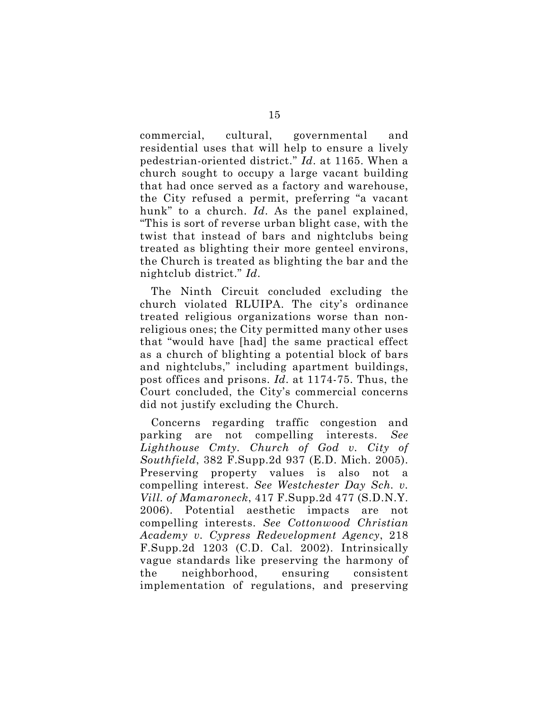commercial, cultural, governmental and residential uses that will help to ensure a lively pedestrian-oriented district." *Id*. at 1165. When a church sought to occupy a large vacant building that had once served as a factory and warehouse, the City refused a permit, preferring "a vacant hunk" to a church. *Id*. As the panel explained, "This is sort of reverse urban blight case, with the twist that instead of bars and nightclubs being treated as blighting their more genteel environs, the Church is treated as blighting the bar and the nightclub district." *Id*.

The Ninth Circuit concluded excluding the church violated RLUIPA. The city's ordinance treated religious organizations worse than nonreligious ones; the City permitted many other uses that "would have [had] the same practical effect as a church of blighting a potential block of bars and nightclubs," including apartment buildings, post offices and prisons. *Id*. at 1174-75. Thus, the Court concluded, the City's commercial concerns did not justify excluding the Church.

Concerns regarding traffic congestion and parking are not compelling interests. *See Lighthouse Cmty. Church of God v. City of Southfield*, 382 F.Supp.2d 937 (E.D. Mich. 2005). Preserving property values is also not compelling interest. *See Westchester Day Sch. v. Vill. of Mamaroneck*, 417 F.Supp.2d 477 (S.D.N.Y. 2006). Potential aesthetic impacts are not compelling interests. *See Cottonwood Christian Academy v. Cypress Redevelopment Agency*, 218 F.Supp.2d 1203 (C.D. Cal. 2002). Intrinsically vague standards like preserving the harmony of the neighborhood, ensuring consistent implementation of regulations, and preserving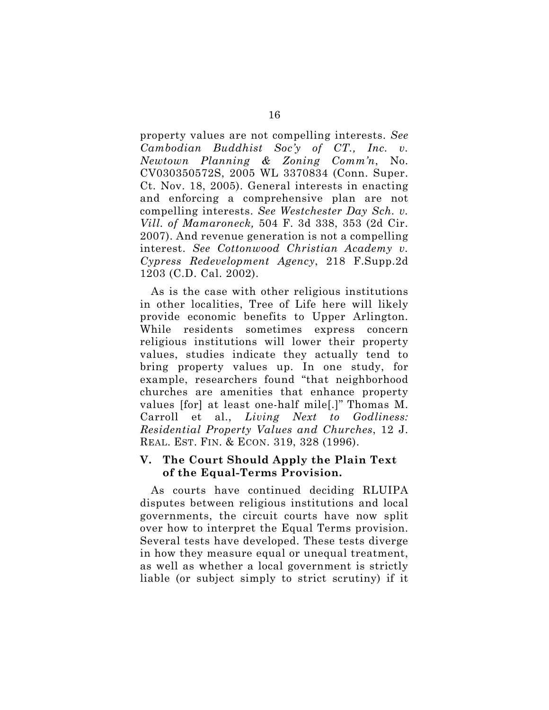property values are not compelling interests. *See Cambodian Buddhist Soc'y of CT., Inc. v. Newtown Planning & Zoning Comm'n*, No. CV030350572S, 2005 WL 3370834 (Conn. Super. Ct. Nov. 18, 2005). General interests in enacting and enforcing a comprehensive plan are not compelling interests. *See Westchester Day Sch. v. Vill. of Mamaroneck,* 504 F. 3d 338, 353 (2d Cir. 2007). And revenue generation is not a compelling interest. *See Cottonwood Christian Academy v. Cypress Redevelopment Agency*, 218 F.Supp.2d 1203 (C.D. Cal. 2002).

As is the case with other religious institutions in other localities, Tree of Life here will likely provide economic benefits to Upper Arlington. While residents sometimes express concern religious institutions will lower their property values, studies indicate they actually tend to bring property values up. In one study, for example, researchers found "that neighborhood churches are amenities that enhance property values [for] at least one-half mile[.]" Thomas M. Carroll et al., *Living Next to Godliness: Residential Property Values and Churches*, 12 J. REAL. EST. FIN. & ECON. 319, 328 (1996).

#### **V. The Court Should Apply the Plain Text of the Equal-Terms Provision.**

As courts have continued deciding RLUIPA disputes between religious institutions and local governments, the circuit courts have now split over how to interpret the Equal Terms provision. Several tests have developed. These tests diverge in how they measure equal or unequal treatment, as well as whether a local government is strictly liable (or subject simply to strict scrutiny) if it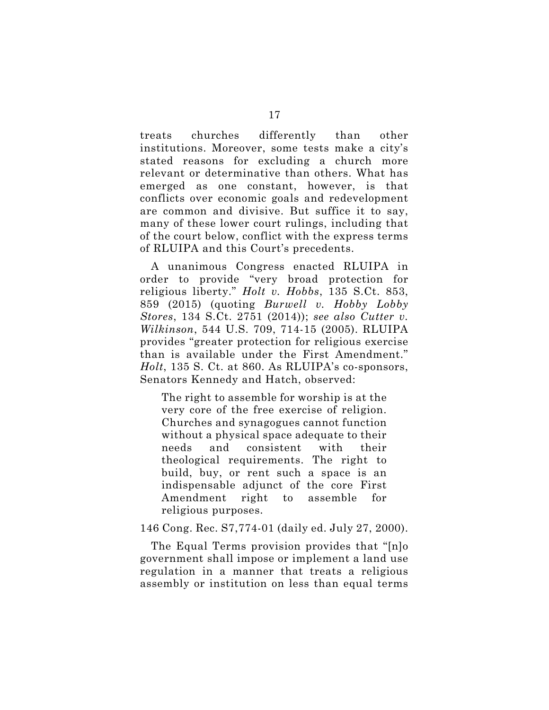treats churches differently than other institutions. Moreover, some tests make a city's stated reasons for excluding a church more relevant or determinative than others. What has emerged as one constant, however, is that conflicts over economic goals and redevelopment are common and divisive. But suffice it to say, many of these lower court rulings, including that of the court below, conflict with the express terms of RLUIPA and this Court's precedents.

A unanimous Congress enacted RLUIPA in order to provide "very broad protection for religious liberty." *Holt v. Hobbs*, 135 S.Ct. 853, 859 (2015) (quoting *Burwell v. Hobby Lobby Stores*, 134 S.Ct. 2751 (2014)); *see also Cutter v. Wilkinson*, 544 U.S. 709, 714-15 (2005). RLUIPA provides "greater protection for religious exercise than is available under the First Amendment." *Holt*, 135 S. Ct. at 860. As RLUIPA's co-sponsors, Senators Kennedy and Hatch, observed:

The right to assemble for worship is at the very core of the free exercise of religion. Churches and synagogues cannot function without a physical space adequate to their needs and consistent with their theological requirements. The right to build, buy, or rent such a space is an indispensable adjunct of the core First Amendment right to assemble for religious purposes.

146 Cong. Rec. S7,774-01 (daily ed. July 27, 2000).

The Equal Terms provision provides that "[n]o government shall impose or implement a land use regulation in a manner that treats a religious assembly or institution on less than equal terms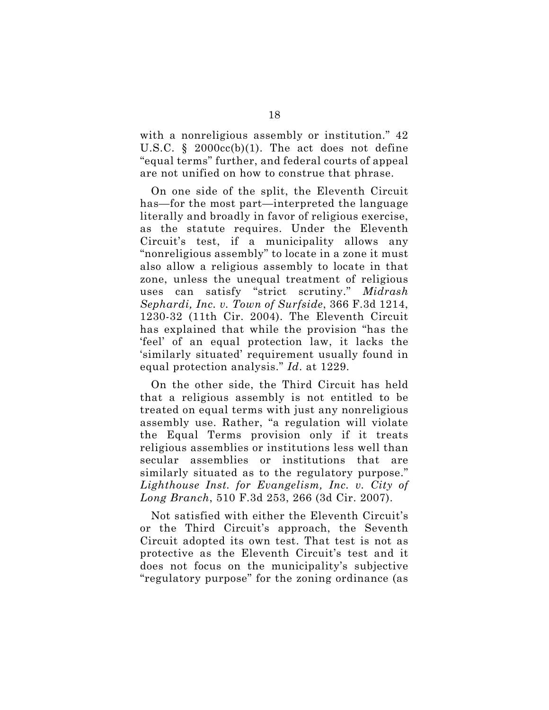with a nonreligious assembly or institution." 42 U.S.C. § 2000cc(b)(1). The act does not define "equal terms" further, and federal courts of appeal are not unified on how to construe that phrase.

On one side of the split, the Eleventh Circuit has—for the most part—interpreted the language literally and broadly in favor of religious exercise, as the statute requires. Under the Eleventh Circuit's test, if a municipality allows any "nonreligious assembly" to locate in a zone it must also allow a religious assembly to locate in that zone, unless the unequal treatment of religious uses can satisfy "strict scrutiny." *Midrash Sephardi, Inc. v. Town of Surfside*, 366 F.3d 1214, 1230-32 (11th Cir. 2004). The Eleventh Circuit has explained that while the provision "has the 'feel' of an equal protection law, it lacks the 'similarly situated' requirement usually found in equal protection analysis." *Id*. at 1229.

On the other side, the Third Circuit has held that a religious assembly is not entitled to be treated on equal terms with just any nonreligious assembly use. Rather, "a regulation will violate the Equal Terms provision only if it treats religious assemblies or institutions less well than secular assemblies or institutions that are similarly situated as to the regulatory purpose." *Lighthouse Inst. for Evangelism, Inc. v. City of Long Branch*, 510 F.3d 253, 266 (3d Cir. 2007).

Not satisfied with either the Eleventh Circuit's or the Third Circuit's approach, the Seventh Circuit adopted its own test. That test is not as protective as the Eleventh Circuit's test and it does not focus on the municipality's subjective "regulatory purpose" for the zoning ordinance (as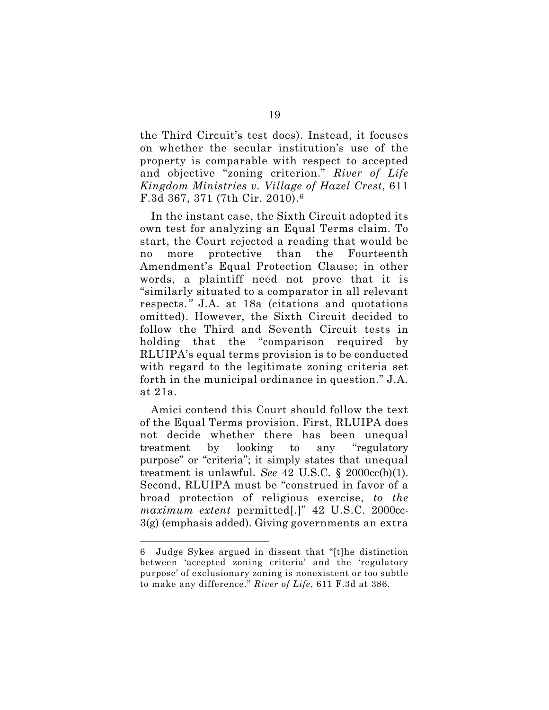the Third Circuit's test does). Instead, it focuses on whether the secular institution's use of the property is comparable with respect to accepted and objective "zoning criterion." *River of Life Kingdom Ministries v. Village of Hazel Crest*, 611 F.3d 367, 371 (7th Cir. 2010).6

In the instant case, the Sixth Circuit adopted its own test for analyzing an Equal Terms claim. To start, the Court rejected a reading that would be no more protective than the Fourteenth Amendment's Equal Protection Clause; in other words, a plaintiff need not prove that it is "similarly situated to a comparator in all relevant respects.*"* J.A. at 18a (citations and quotations omitted). However, the Sixth Circuit decided to follow the Third and Seventh Circuit tests in holding that the "comparison required by RLUIPA's equal terms provision is to be conducted with regard to the legitimate zoning criteria set forth in the municipal ordinance in question." J.A. at 21a.

Amici contend this Court should follow the text of the Equal Terms provision. First, RLUIPA does not decide whether there has been unequal treatment by looking to any "regulatory purpose" or "criteria"; it simply states that unequal treatment is unlawful. *See*  $42$  U.S.C.  $\S$   $2000cc(b)(1)$ . Second, RLUIPA must be "construed in favor of a broad protection of religious exercise, *to the maximum extent* permitted[.]" 42 U.S.C. 2000cc-3(g) (emphasis added). Giving governments an extra

 $\ddot{\phantom{a}}$ 

<sup>6</sup> Judge Sykes argued in dissent that "[t]he distinction between 'accepted zoning criteria' and the 'regulatory purpose' of exclusionary zoning is nonexistent or too subtle to make any difference." *River of Life*, 611 F.3d at 386.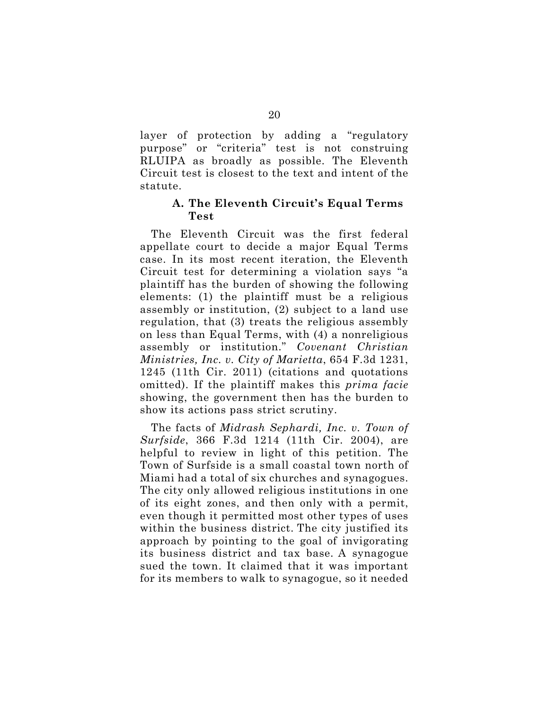layer of protection by adding a "regulatory purpose" or "criteria" test is not construing RLUIPA as broadly as possible. The Eleventh Circuit test is closest to the text and intent of the statute.

### **A. The Eleventh Circuit's Equal Terms Test**

The Eleventh Circuit was the first federal appellate court to decide a major Equal Terms case. In its most recent iteration, the Eleventh Circuit test for determining a violation says "a plaintiff has the burden of showing the following elements: (1) the plaintiff must be a religious assembly or institution, (2) subject to a land use regulation, that (3) treats the religious assembly on less than Equal Terms, with (4) a nonreligious assembly or institution." *Covenant Christian Ministries, Inc. v. City of Marietta*, 654 F.3d 1231, 1245 (11th Cir. 2011) (citations and quotations omitted). If the plaintiff makes this *prima facie* showing, the government then has the burden to show its actions pass strict scrutiny.

The facts of *Midrash Sephardi, Inc. v. Town of Surfside*, 366 F.3d 1214 (11th Cir. 2004), are helpful to review in light of this petition. The Town of Surfside is a small coastal town north of Miami had a total of six churches and synagogues. The city only allowed religious institutions in one of its eight zones, and then only with a permit, even though it permitted most other types of uses within the business district. The city justified its approach by pointing to the goal of invigorating its business district and tax base. A synagogue sued the town. It claimed that it was important for its members to walk to synagogue, so it needed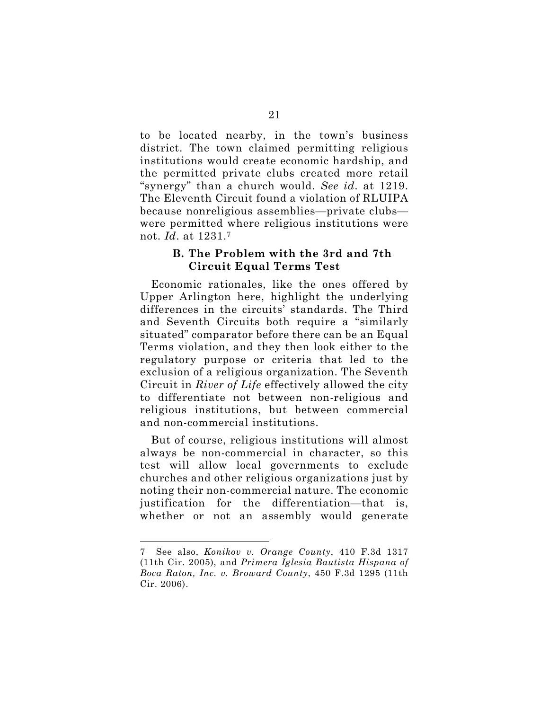to be located nearby, in the town's business district. The town claimed permitting religious institutions would create economic hardship, and the permitted private clubs created more retail "synergy" than a church would. *See id*. at 1219. The Eleventh Circuit found a violation of RLUIPA because nonreligious assemblies—private clubs were permitted where religious institutions were not. *Id*. at 1231.7

### **B. The Problem with the 3rd and 7th Circuit Equal Terms Test**

Economic rationales, like the ones offered by Upper Arlington here, highlight the underlying differences in the circuits' standards. The Third and Seventh Circuits both require a "similarly situated" comparator before there can be an Equal Terms violation, and they then look either to the regulatory purpose or criteria that led to the exclusion of a religious organization. The Seventh Circuit in *River of Life* effectively allowed the city to differentiate not between non-religious and religious institutions, but between commercial and non-commercial institutions.

But of course, religious institutions will almost always be non-commercial in character, so this test will allow local governments to exclude churches and other religious organizations just by noting their non-commercial nature. The economic justification for the differentiation—that is, whether or not an assembly would generate

 $\ddot{\phantom{a}}$ 

<sup>7</sup> See also, *Konikov v. Orange County*, 410 F.3d 1317 (11th Cir. 2005), and *Primera Iglesia Bautista Hispana of Boca Raton, Inc. v. Broward County*, 450 F.3d 1295 (11th Cir. 2006).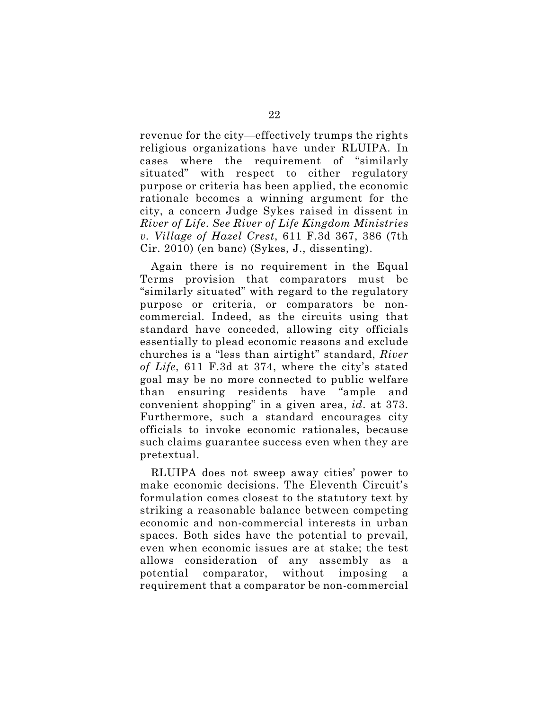revenue for the city—effectively trumps the rights religious organizations have under RLUIPA. In cases where the requirement of "similarly situated" with respect to either regulatory purpose or criteria has been applied, the economic rationale becomes a winning argument for the city, a concern Judge Sykes raised in dissent in *River of Life*. *See River of Life Kingdom Ministries v. Village of Hazel Crest*, 611 F.3d 367, 386 (7th Cir. 2010) (en banc) (Sykes, J., dissenting).

Again there is no requirement in the Equal Terms provision that comparators must be "similarly situated" with regard to the regulatory purpose or criteria, or comparators be noncommercial. Indeed, as the circuits using that standard have conceded, allowing city officials essentially to plead economic reasons and exclude churches is a "less than airtight" standard, *River of Life*, 611 F.3d at 374, where the city's stated goal may be no more connected to public welfare than ensuring residents have "ample and convenient shopping" in a given area, *id*. at 373. Furthermore, such a standard encourages city officials to invoke economic rationales, because such claims guarantee success even when they are pretextual.

RLUIPA does not sweep away cities' power to make economic decisions. The Eleventh Circuit's formulation comes closest to the statutory text by striking a reasonable balance between competing economic and non-commercial interests in urban spaces. Both sides have the potential to prevail, even when economic issues are at stake; the test allows consideration of any assembly as a potential comparator, without imposing a requirement that a comparator be non-commercial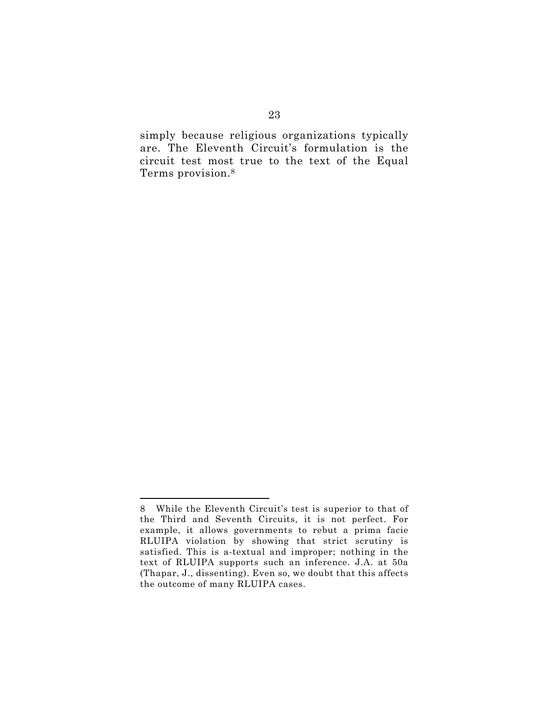simply because religious organizations typically are. The Eleventh Circuit's formulation is the circuit test most true to the text of the Equal Terms provision.8

 $\ddot{\phantom{a}}$ 

<sup>8</sup> While the Eleventh Circuit's test is superior to that of the Third and Seventh Circuits, it is not perfect. For example, it allows governments to rebut a prima facie RLUIPA violation by showing that strict scrutiny is satisfied. This is a-textual and improper; nothing in the text of RLUIPA supports such an inference. J.A. at 50a (Thapar, J., dissenting). Even so, we doubt that this affects the outcome of many RLUIPA cases.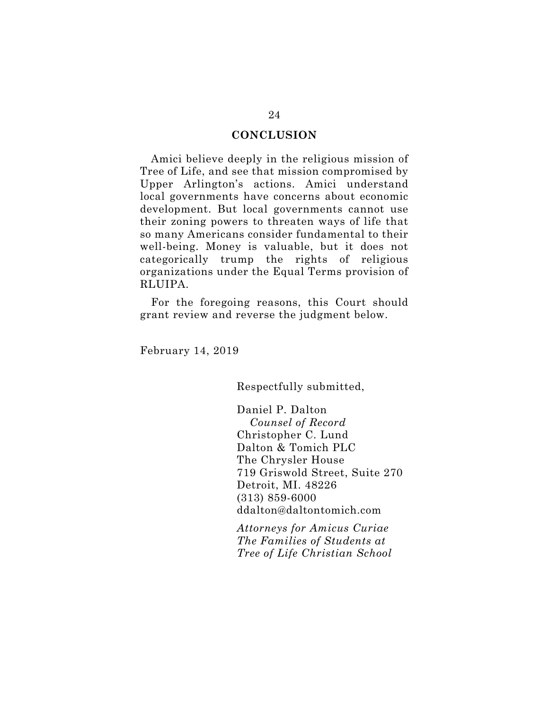#### **CONCLUSION**

Amici believe deeply in the religious mission of Tree of Life, and see that mission compromised by Upper Arlington's actions. Amici understand local governments have concerns about economic development. But local governments cannot use their zoning powers to threaten ways of life that so many Americans consider fundamental to their well-being. Money is valuable, but it does not categorically trump the rights of religious organizations under the Equal Terms provision of RLUIPA.

For the foregoing reasons, this Court should grant review and reverse the judgment below.

February 14, 2019

Respectfully submitted,

Daniel P. Dalton *Counsel of Record*  Christopher C. Lund Dalton & Tomich PLC The Chrysler House 719 Griswold Street, Suite 270 Detroit, MI. 48226 (313) 859-6000 ddalton@daltontomich.com

*Attorneys for Amicus Curiae The Families of Students at Tree of Life Christian School*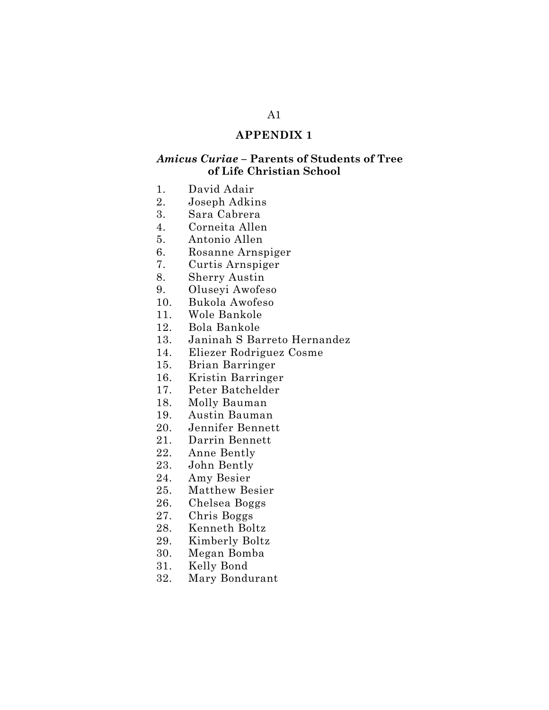#### **APPENDIX 1**

## *Amicus Curiae* **– Parents of Students of Tree of Life Christian School**

- 1. David Adair
- 2. Joseph Adkins
- 3. Sara Cabrera
- 4. Corneita Allen
- 5. Antonio Allen
- 6. Rosanne Arnspiger
- 7. Curtis Arnspiger
- 8. Sherry Austin
- 9. Oluseyi Awofeso
- 10. Bukola Awofeso
- 11. Wole Bankole
- 12. Bola Bankole
- 13. Janinah S Barreto Hernandez
- 14. Eliezer Rodriguez Cosme
- 15. Brian Barringer
- 16. Kristin Barringer
- 17. Peter Batchelder
- 18. Molly Bauman
- 19. Austin Bauman
- 20. Jennifer Bennett
- 21. Darrin Bennett
- 22. Anne Bently
- 23. John Bently
- 24. Amy Besier
- 25. Matthew Besier
- 26. Chelsea Boggs
- 27. Chris Boggs
- 28. Kenneth Boltz
- 29. Kimberly Boltz
- 30. Megan Bomba
- 31. Kelly Bond
- 32. Mary Bondurant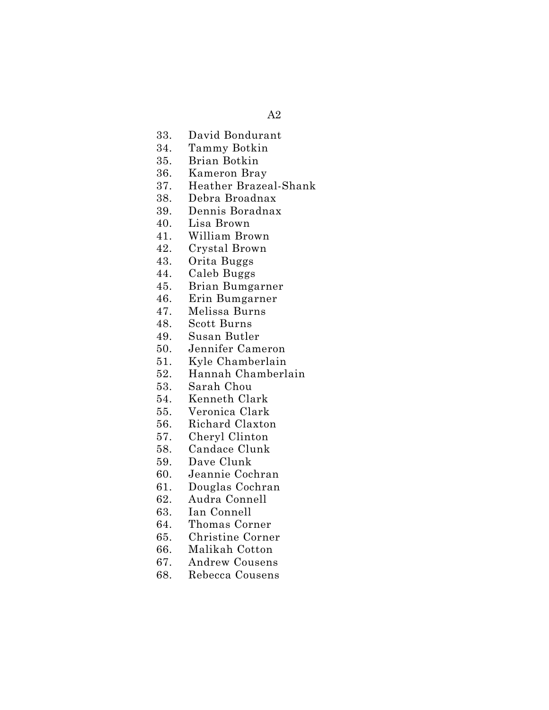- 33. David Bondurant
- 34. Tammy Botkin
- 35. Brian Botkin
- 36. Kameron Bray
- 37. Heather Brazeal-Shank
- 38. Debra Broadnax
- 39. Dennis Boradnax
- 40. Lisa Brown
- 41. William Brown
- 42. Crystal Brown
- 43. Orita Buggs
- 44. Caleb Buggs
- 45. Brian Bumgarner
- 46. Erin Bumgarner
- 47. Melissa Burns
- 48. Scott Burns
- 49. Susan Butler
- 50. Jennifer Cameron
- 51. Kyle Chamberlain
- 52. Hannah Chamberlain
- 53. Sarah Chou
- 54. Kenneth Clark
- 55. Veronica Clark
- 56. Richard Claxton
- 57. Cheryl Clinton
- 58. Candace Clunk
- 59. Dave Clunk
- 60. Jeannie Cochran
- 61. Douglas Cochran
- 62. Audra Connell
- 63. Ian Connell
- 64. Thomas Corner
- 65. Christine Corner
- 66. Malikah Cotton
- 67. Andrew Cousens
- 68. Rebecca Cousens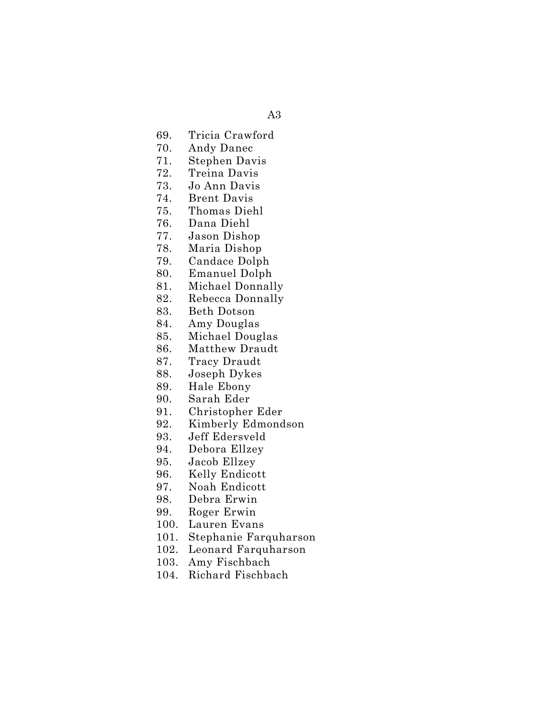- 69. Tricia Crawford
- 70. Andy Danec
- 71. Stephen Davis
- 72. Treina Davis
- 73. Jo Ann Davis
- 74. Brent Davis
- 75. Thomas Diehl
- 76. Dana Diehl
- 77. Jason Dishop
- 78. Maria Dishop
- 79. Candace Dolph
- 80. Emanuel Dolph
- 81. Michael Donnally
- 82. Rebecca Donnally
- 83. Beth Dotson
- 84. Amy Douglas
- 85. Michael Douglas
- 86. Matthew Draudt
- 87. Tracy Draudt
- 88. Joseph Dykes
- 89. Hale Ebony
- 90. Sarah Eder
- 91. Christopher Eder
- 92. Kimberly Edmondson
- 93. Jeff Edersveld
- 94. Debora Ellzey
- 95. Jacob Ellzey
- 96. Kelly Endicott
- 97. Noah Endicott
- 98. Debra Erwin
- 99. Roger Erwin
- 100. Lauren Evans
- 101. Stephanie Farquharson
- 102. Leonard Farquharson
- 103. Amy Fischbach
- 104. Richard Fischbach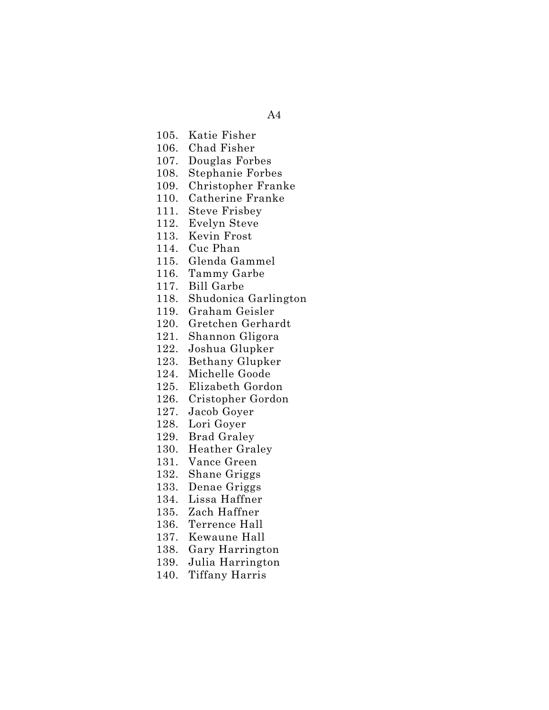- 105. Katie Fisher
- 106. Chad Fisher
- 107. Douglas Forbes
- 108. Stephanie Forbes
- 109. Christopher Franke
- 110. Catherine Franke
- 111. Steve Frisbey
- 112. Evelyn Steve
- 113. Kevin Frost
- 114. Cuc Phan
- 115. Glenda Gammel
- 116. Tammy Garbe
- 117. Bill Garbe
- 118. Shudonica Garlington
- 119. Graham Geisler
- 120. Gretchen Gerhardt
- 121. Shannon Gligora
- 122. Joshua Glupker
- 123. Bethany Glupker
- 124. Michelle Goode
- 125. Elizabeth Gordon
- 126. Cristopher Gordon
- 127. Jacob Goyer
- 128. Lori Goyer
- 129. Brad Graley
- 130. Heather Graley
- 131. Vance Green
- 132. Shane Griggs
- 133. Denae Griggs
- 134. Lissa Haffner
- 135. Zach Haffner
- 136. Terrence Hall
- 137. Kewaune Hall
- 138. Gary Harrington
- 139. Julia Harrington
- 140. Tiffany Harris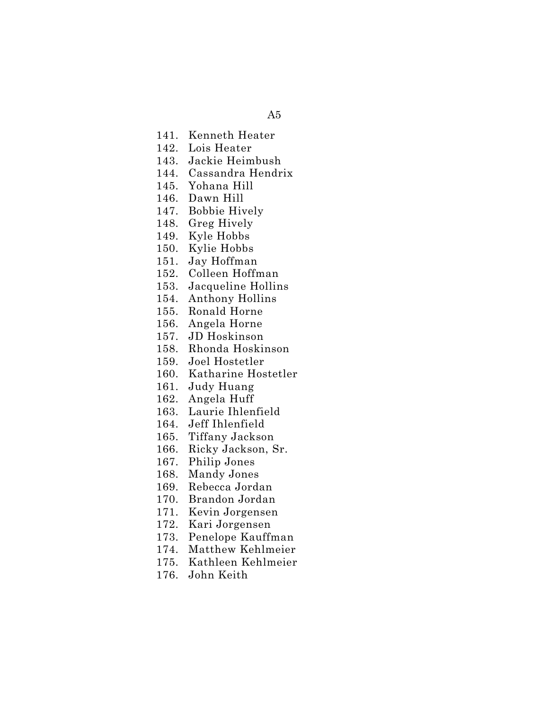- 141. Kenneth Heater
- 142. Lois Heater
- 143. Jackie Heimbush
- 144. Cassandra Hendrix
- 145. Yohana Hill
- 146. Dawn Hill
- 147. Bobbie Hively
- 148. Greg Hively
- 149. Kyle Hobbs
- 150. Kylie Hobbs
- 151. Jay Hoffman
- 152. Colleen Hoffman
- 153. Jacqueline Hollins
- 154. Anthony Hollins
- 155. Ronald Horne
- 156. Angela Horne
- 157. JD Hoskinson
- 158. Rhonda Hoskinson
- 159. Joel Hostetler
- 160. Katharine Hostetler
- 161. Judy Huang
- 162. Angela Huff
- 163. Laurie Ihlenfield
- 164. Jeff Ihlenfield
- 165. Tiffany Jackson
- 166. Ricky Jackson, Sr.
- 167. Philip Jones
- 168. Mandy Jones
- 169. Rebecca Jordan
- 170. Brandon Jordan
- 171. Kevin Jorgensen
- 172. Kari Jorgensen
- 173. Penelope Kauffman
- 174. Matthew Kehlmeier
- 175. Kathleen Kehlmeier
- 176. John Keith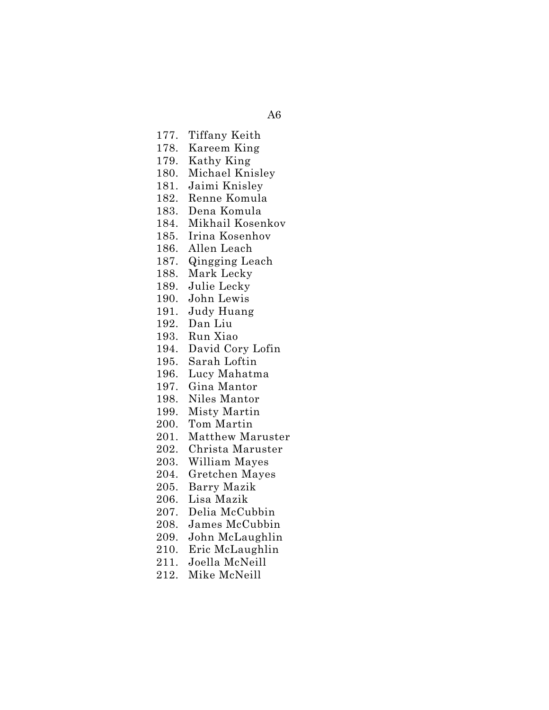- 177. Tiffany Keith
- 178. Kareem King
- 179. Kathy King
- 180. Michael Knisley
- 181. Jaimi Knisley
- 182. Renne Komula
- 183. Dena Komula
- 184. Mikhail Kosenkov
- 185. Irina Kosenhov
- 186. Allen Leach
- 187. Qingging Leach
- 188. Mark Lecky
- 189. Julie Lecky
- 190. John Lewis
- 191. Judy Huang
- 192. Dan Liu
- 193. Run Xiao
- 194. David Cory Lofin
- 195. Sarah Loftin
- 196. Lucy Mahatma
- 197. Gina Mantor
- 198. Niles Mantor
- 199. Misty Martin
- 200. Tom Martin
- 201. Matthew Maruster
- 202. Christa Maruster
- 203. William Mayes
- 204. Gretchen Mayes
- 205. Barry Mazik
- 206. Lisa Mazik
- 207. Delia McCubbin
- 208. James McCubbin
- 209. John McLaughlin
- 210. Eric McLaughlin
- 211. Joella McNeill
- 212. Mike McNeill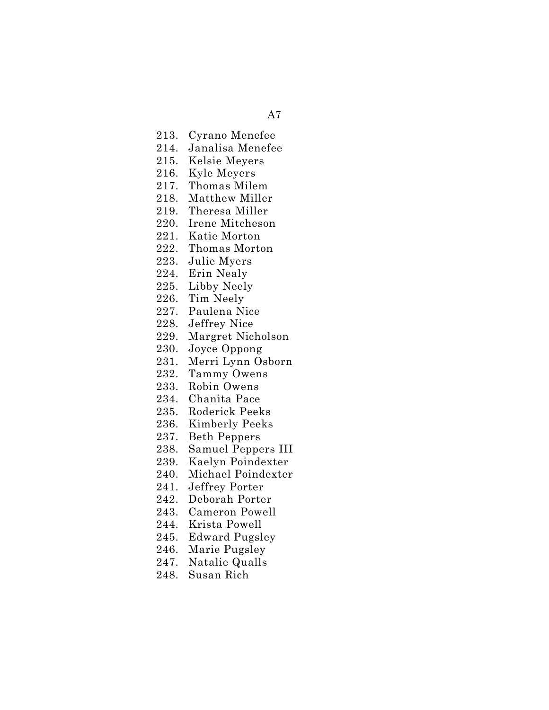- 213. Cyrano Menefee
- 214. Janalisa Menefee
- 215. Kelsie Meyers
- 216. Kyle Meyers
- 217. Thomas Milem
- 218. Matthew Miller
- 219. Theresa Miller
- 220. Irene Mitcheson
- 221. Katie Morton
- 222. Thomas Morton
- 223. Julie Myers
- 224. Erin Nealy
- 225. Libby Neely
- 226. Tim Neely
- 227. Paulena Nice
- 228. Jeffrey Nice
- 229. Margret Nicholson
- 230. Joyce Oppong
- 231. Merri Lynn Osborn
- 232. Tammy Owens
- 233. Robin Owens
- 234. Chanita Pace
- 235. Roderick Peeks
- 236. Kimberly Peeks
- 237. Beth Peppers
- 238. Samuel Peppers III
- 239. Kaelyn Poindexter
- 240. Michael Poindexter
- 241. Jeffrey Porter
- 242. Deborah Porter
- 243. Cameron Powell
- 244. Krista Powell
- 245. Edward Pugsley
- 246. Marie Pugsley
- 247. Natalie Qualls
- 248. Susan Rich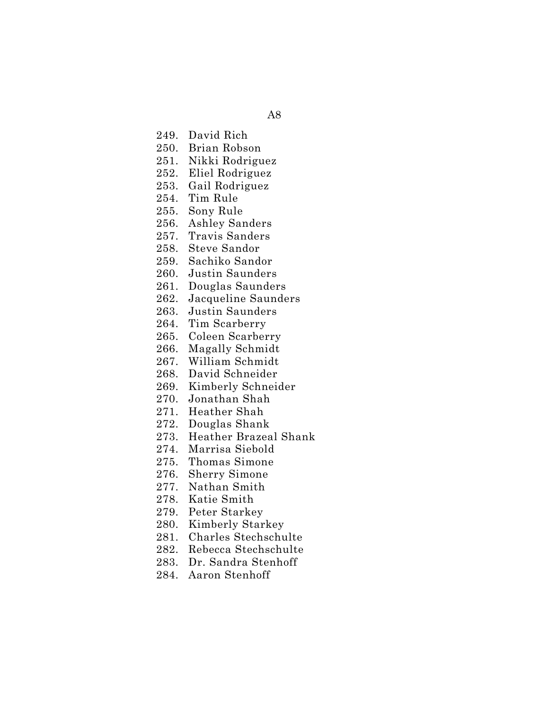- 249. David Rich
- 250. Brian Robson
- 251. Nikki Rodriguez
- 252. Eliel Rodriguez
- 253. Gail Rodriguez
- 254. Tim Rule
- 255. Sony Rule
- 256. Ashley Sanders
- 257. Travis Sanders
- 258. Steve Sandor
- 259. Sachiko Sandor
- 260. Justin Saunders
- 261. Douglas Saunders
- 262. Jacqueline Saunders
- 263. Justin Saunders
- 264. Tim Scarberry
- 265. Coleen Scarberry
- 266. Magally Schmidt
- 267. William Schmidt
- 268. David Schneider
- 269. Kimberly Schneider
- 270. Jonathan Shah
- 271. Heather Shah
- 272. Douglas Shank
- 273. Heather Brazeal Shank
- 274. Marrisa Siebold
- 275. Thomas Simone
- 276. Sherry Simone
- 277. Nathan Smith
- 278. Katie Smith
- 279. Peter Starkey
- 280. Kimberly Starkey
- 281. Charles Stechschulte
- 282. Rebecca Stechschulte
- 283. Dr. Sandra Stenhoff
- 284. Aaron Stenhoff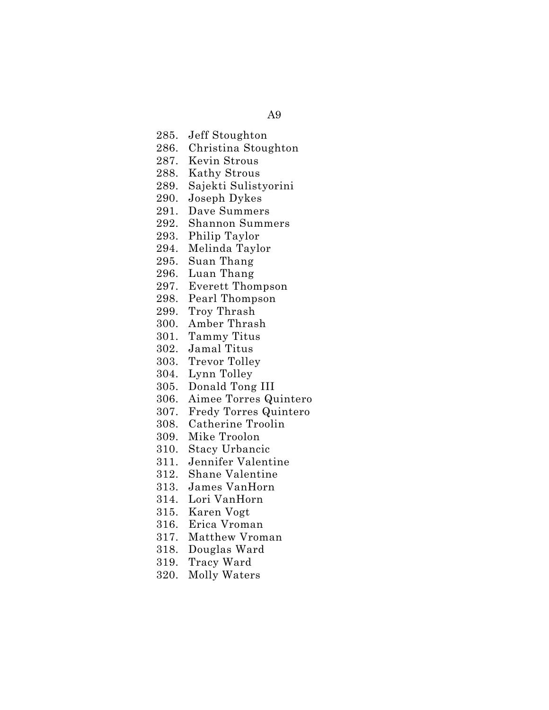- 285. Jeff Stoughton
- 286. Christina Stoughton
- 287. Kevin Strous
- 288. Kathy Strous
- 289. Sajekti Sulistyorini
- 290. Joseph Dykes
- 291. Dave Summers
- 292. Shannon Summers
- 293. Philip Taylor
- 294. Melinda Taylor
- 295. Suan Thang
- 296. Luan Thang
- 297. Everett Thompson
- 298. Pearl Thompson
- 299. Troy Thrash
- 300. Amber Thrash
- 301. Tammy Titus
- 302. Jamal Titus
- 303. Trevor Tolley
- 304. Lynn Tolley
- 305. Donald Tong III
- 306. Aimee Torres Quintero
- 307. Fredy Torres Quintero
- 308. Catherine Troolin
- 309. Mike Troolon
- 310. Stacy Urbancic
- 311. Jennifer Valentine
- 312. Shane Valentine
- 313. James VanHorn
- 314. Lori VanHorn
- 315. Karen Vogt
- 316. Erica Vroman
- 317. Matthew Vroman
- 318. Douglas Ward
- 319. Tracy Ward
- 320. Molly Waters